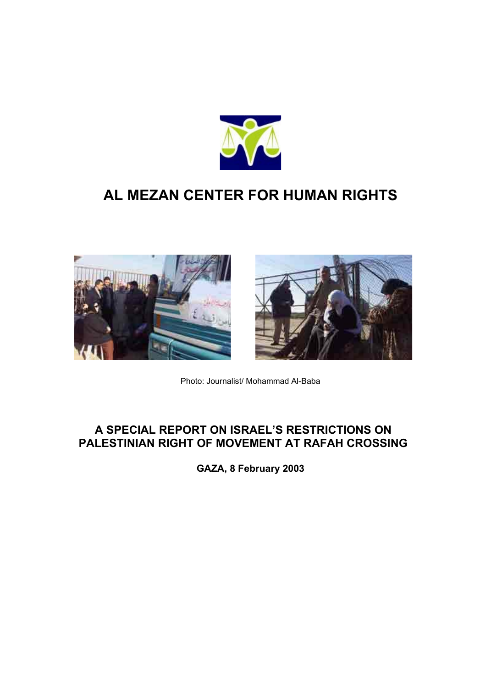

# **AL MEZAN CENTER FOR HUMAN RIGHTS**





Photo: Journalist/ Mohammad Al-Baba

# **A SPECIAL REPORT ON ISRAEL'S RESTRICTIONS ON PALESTINIAN RIGHT OF MOVEMENT AT RAFAH CROSSING**

**GAZA, 8 February 2003**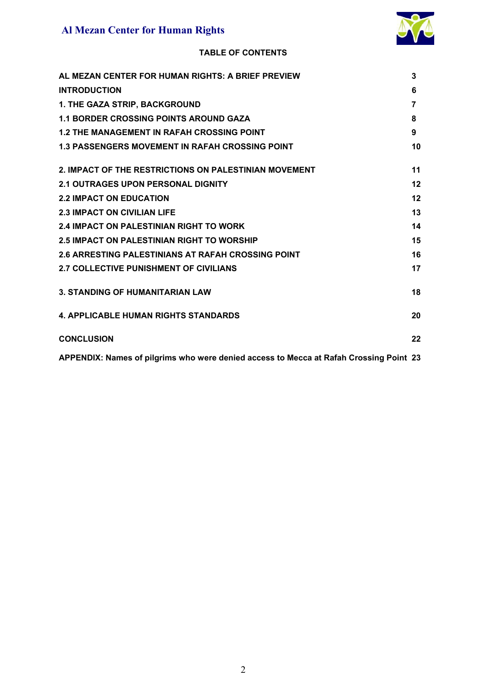

# **TABLE OF CONTENTS**

| AL MEZAN CENTER FOR HUMAN RIGHTS: A BRIEF PREVIEW                                      | 3  |
|----------------------------------------------------------------------------------------|----|
| <b>INTRODUCTION</b>                                                                    | 6  |
| 1. THE GAZA STRIP, BACKGROUND                                                          | 7  |
| <b>1.1 BORDER CROSSING POINTS AROUND GAZA</b>                                          | 8  |
| <b>1.2 THE MANAGEMENT IN RAFAH CROSSING POINT</b>                                      | 9  |
| <b>1.3 PASSENGERS MOVEMENT IN RAFAH CROSSING POINT</b>                                 | 10 |
| 2. IMPACT OF THE RESTRICTIONS ON PALESTINIAN MOVEMENT                                  | 11 |
| <b>2.1 OUTRAGES UPON PERSONAL DIGNITY</b>                                              | 12 |
| <b>2.2 IMPACT ON EDUCATION</b>                                                         | 12 |
| <b>2.3 IMPACT ON CIVILIAN LIFE</b>                                                     | 13 |
| <b>2.4 IMPACT ON PALESTINIAN RIGHT TO WORK</b>                                         | 14 |
| <b>2.5 IMPACT ON PALESTINIAN RIGHT TO WORSHIP</b>                                      | 15 |
| <b>2.6 ARRESTING PALESTINIANS AT RAFAH CROSSING POINT</b>                              | 16 |
| <b>2.7 COLLECTIVE PUNISHMENT OF CIVILIANS</b>                                          | 17 |
| <b>3. STANDING OF HUMANITARIAN LAW</b>                                                 | 18 |
| <b>4. APPLICABLE HUMAN RIGHTS STANDARDS</b>                                            | 20 |
| <b>CONCLUSION</b>                                                                      | 22 |
| APPENDIX: Names of pilgrims who were denied access to Mecca at Rafah Crossing Point 23 |    |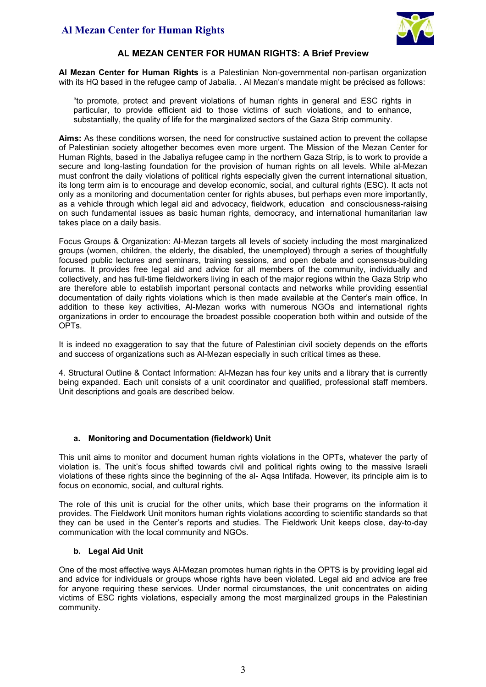

### **AL MEZAN CENTER FOR HUMAN RIGHTS: A Brief Preview**

**Al Mezan Center for Human Rights** is a Palestinian Non-governmental non-partisan organization with its HQ based in the refugee camp of Jabalia. . Al Mezan's mandate might be précised as follows:

"to promote, protect and prevent violations of human rights in general and ESC rights in particular, to provide efficient aid to those victims of such violations, and to enhance, substantially, the quality of life for the marginalized sectors of the Gaza Strip community.

**Aims:** As these conditions worsen, the need for constructive sustained action to prevent the collapse of Palestinian society altogether becomes even more urgent. The Mission of the Mezan Center for Human Rights, based in the Jabaliya refugee camp in the northern Gaza Strip, is to work to provide a secure and long-lasting foundation for the provision of human rights on all levels. While al-Mezan must confront the daily violations of political rights especially given the current international situation, its long term aim is to encourage and develop economic, social, and cultural rights (ESC). It acts not only as a monitoring and documentation center for rights abuses, but perhaps even more importantly, as a vehicle through which legal aid and advocacy, fieldwork, education and consciousness-raising on such fundamental issues as basic human rights, democracy, and international humanitarian law takes place on a daily basis.

Focus Groups & Organization: Al-Mezan targets all levels of society including the most marginalized groups (women, children, the elderly, the disabled, the unemployed) through a series of thoughtfully focused public lectures and seminars, training sessions, and open debate and consensus-building forums. It provides free legal aid and advice for all members of the community, individually and collectively, and has full-time fieldworkers living in each of the major regions within the Gaza Strip who are therefore able to establish important personal contacts and networks while providing essential documentation of daily rights violations which is then made available at the Center's main office. In addition to these key activities, Al-Mezan works with numerous NGOs and international rights organizations in order to encourage the broadest possible cooperation both within and outside of the OPTs.

It is indeed no exaggeration to say that the future of Palestinian civil society depends on the efforts and success of organizations such as Al-Mezan especially in such critical times as these.

4. Structural Outline & Contact Information: Al-Mezan has four key units and a library that is currently being expanded. Each unit consists of a unit coordinator and qualified, professional staff members. Unit descriptions and goals are described below.

### **a. Monitoring and Documentation (fieldwork) Unit**

This unit aims to monitor and document human rights violations in the OPTs, whatever the party of violation is. The unit's focus shifted towards civil and political rights owing to the massive Israeli violations of these rights since the beginning of the al- Aqsa Intifada. However, its principle aim is to focus on economic, social, and cultural rights.

The role of this unit is crucial for the other units, which base their programs on the information it provides. The Fieldwork Unit monitors human rights violations according to scientific standards so that they can be used in the Center's reports and studies. The Fieldwork Unit keeps close, day-to-day communication with the local community and NGOs.

#### **b. Legal Aid Unit**

One of the most effective ways Al-Mezan promotes human rights in the OPTS is by providing legal aid and advice for individuals or groups whose rights have been violated. Legal aid and advice are free for anyone requiring these services. Under normal circumstances, the unit concentrates on aiding victims of ESC rights violations, especially among the most marginalized groups in the Palestinian community.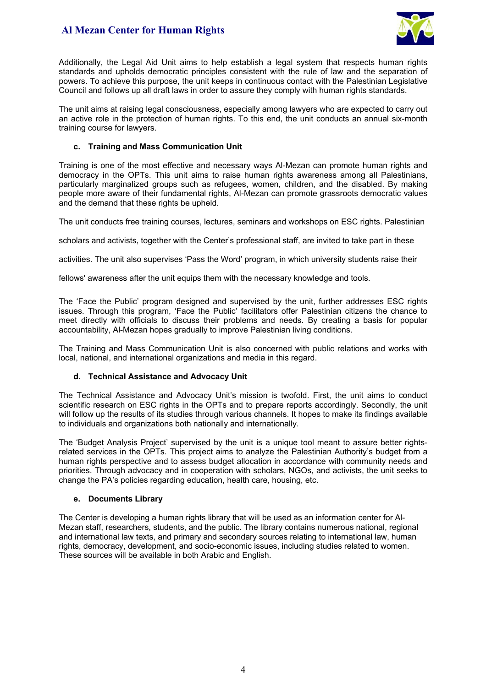

Additionally, the Legal Aid Unit aims to help establish a legal system that respects human rights standards and upholds democratic principles consistent with the rule of law and the separation of powers. To achieve this purpose, the unit keeps in continuous contact with the Palestinian Legislative Council and follows up all draft laws in order to assure they comply with human rights standards.

The unit aims at raising legal consciousness, especially among lawyers who are expected to carry out an active role in the protection of human rights. To this end, the unit conducts an annual six-month training course for lawyers.

#### **c. Training and Mass Communication Unit**

Training is one of the most effective and necessary ways Al-Mezan can promote human rights and democracy in the OPTs. This unit aims to raise human rights awareness among all Palestinians, particularly marginalized groups such as refugees, women, children, and the disabled. By making people more aware of their fundamental rights, Al-Mezan can promote grassroots democratic values and the demand that these rights be upheld.

The unit conducts free training courses, lectures, seminars and workshops on ESC rights. Palestinian

scholars and activists, together with the Center's professional staff, are invited to take part in these

activities. The unit also supervises 'Pass the Word' program, in which university students raise their

fellows' awareness after the unit equips them with the necessary knowledge and tools.

The 'Face the Public' program designed and supervised by the unit, further addresses ESC rights issues. Through this program, 'Face the Public' facilitators offer Palestinian citizens the chance to meet directly with officials to discuss their problems and needs. By creating a basis for popular accountability, Al-Mezan hopes gradually to improve Palestinian living conditions.

The Training and Mass Communication Unit is also concerned with public relations and works with local, national, and international organizations and media in this regard.

### **d. Technical Assistance and Advocacy Unit**

The Technical Assistance and Advocacy Unit's mission is twofold. First, the unit aims to conduct scientific research on ESC rights in the OPTs and to prepare reports accordingly. Secondly, the unit will follow up the results of its studies through various channels. It hopes to make its findings available to individuals and organizations both nationally and internationally.

The 'Budget Analysis Project' supervised by the unit is a unique tool meant to assure better rightsrelated services in the OPTs. This project aims to analyze the Palestinian Authority's budget from a human rights perspective and to assess budget allocation in accordance with community needs and priorities. Through advocacy and in cooperation with scholars, NGOs, and activists, the unit seeks to change the PA's policies regarding education, health care, housing, etc.

#### **e. Documents Library**

The Center is developing a human rights library that will be used as an information center for Al-Mezan staff, researchers, students, and the public. The library contains numerous national, regional and international law texts, and primary and secondary sources relating to international law, human rights, democracy, development, and socio-economic issues, including studies related to women. These sources will be available in both Arabic and English.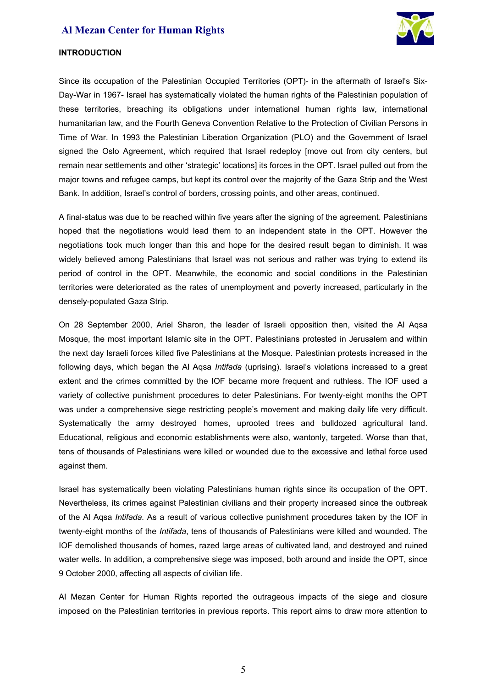

#### **INTRODUCTION**

Since its occupation of the Palestinian Occupied Territories (OPT)- in the aftermath of Israel's Six-Day-War in 1967- Israel has systematically violated the human rights of the Palestinian population of these territories, breaching its obligations under international human rights law, international humanitarian law, and the Fourth Geneva Convention Relative to the Protection of Civilian Persons in Time of War. In 1993 the Palestinian Liberation Organization (PLO) and the Government of Israel signed the Oslo Agreement, which required that Israel redeploy [move out from city centers, but remain near settlements and other 'strategic' locations] its forces in the OPT. Israel pulled out from the major towns and refugee camps, but kept its control over the majority of the Gaza Strip and the West Bank. In addition, Israel's control of borders, crossing points, and other areas, continued.

A final-status was due to be reached within five years after the signing of the agreement. Palestinians hoped that the negotiations would lead them to an independent state in the OPT. However the negotiations took much longer than this and hope for the desired result began to diminish. It was widely believed among Palestinians that Israel was not serious and rather was trying to extend its period of control in the OPT. Meanwhile, the economic and social conditions in the Palestinian territories were deteriorated as the rates of unemployment and poverty increased, particularly in the densely-populated Gaza Strip.

On 28 September 2000, Ariel Sharon, the leader of Israeli opposition then, visited the Al Aqsa Mosque, the most important Islamic site in the OPT. Palestinians protested in Jerusalem and within the next day Israeli forces killed five Palestinians at the Mosque. Palestinian protests increased in the following days, which began the Al Aqsa *Intifada* (uprising). Israel's violations increased to a great extent and the crimes committed by the IOF became more frequent and ruthless. The IOF used a variety of collective punishment procedures to deter Palestinians. For twenty-eight months the OPT was under a comprehensive siege restricting people's movement and making daily life very difficult. Systematically the army destroyed homes, uprooted trees and bulldozed agricultural land. Educational, religious and economic establishments were also, wantonly, targeted. Worse than that, tens of thousands of Palestinians were killed or wounded due to the excessive and lethal force used against them.

Israel has systematically been violating Palestinians human rights since its occupation of the OPT. Nevertheless, its crimes against Palestinian civilians and their property increased since the outbreak of the Al Aqsa *Intifada.* As a result of various collective punishment procedures taken by the IOF in twenty-eight months of the *Intifada*, tens of thousands of Palestinians were killed and wounded. The IOF demolished thousands of homes, razed large areas of cultivated land, and destroyed and ruined water wells. In addition, a comprehensive siege was imposed, both around and inside the OPT, since 9 October 2000, affecting all aspects of civilian life.

Al Mezan Center for Human Rights reported the outrageous impacts of the siege and closure imposed on the Palestinian territories in previous reports. This report aims to draw more attention to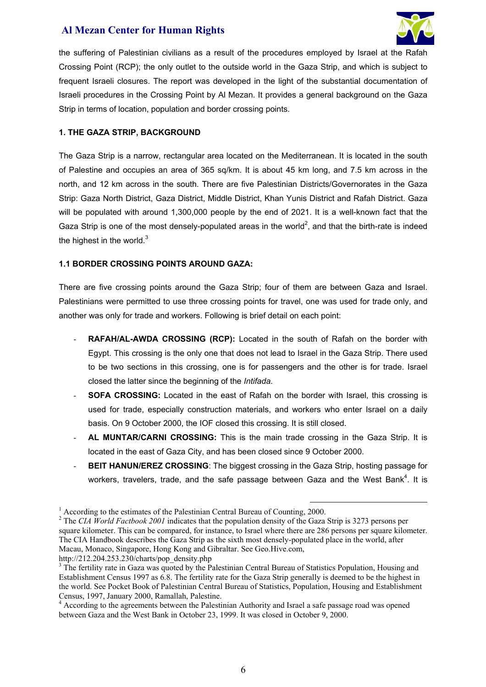

the suffering of Palestinian civilians as a result of the procedures employed by Israel at the Rafah Crossing Point (RCP); the only outlet to the outside world in the Gaza Strip, and which is subject to frequent Israeli closures. The report was developed in the light of the substantial documentation of Israeli procedures in the Crossing Point by Al Mezan. It provides a general background on the Gaza Strip in terms of location, population and border crossing points.

### **1. THE GAZA STRIP, BACKGROUND**

The Gaza Strip is a narrow, rectangular area located on the Mediterranean. It is located in the south of Palestine and occupies an area of 365 sq/km. It is about 45 km long, and 7.5 km across in the north, and 12 km across in the south. There are five Palestinian Districts/Governorates in the Gaza Strip: Gaza North District, Gaza District, Middle District, Khan Yunis District and Rafah District. Gaza will be populated with around 1,300,000 people by the end of 2021. It is a well-known fact that the Gaza Strip is one of the most densely-populated areas in the world<sup>2</sup>, and that the birth-rate is indeed the highest in the world. $3$ 

### **1.1 BORDER CROSSING POINTS AROUND GAZA:**

There are five crossing points around the Gaza Strip; four of them are between Gaza and Israel. Palestinians were permitted to use three crossing points for travel, one was used for trade only, and another was only for trade and workers. Following is brief detail on each point:

- **RAFAH/AL-AWDA CROSSING (RCP):** Located in the south of Rafah on the border with Egypt. This crossing is the only one that does not lead to Israel in the Gaza Strip. There used to be two sections in this crossing, one is for passengers and the other is for trade. Israel closed the latter since the beginning of the *Intifada*.
- **SOFA CROSSING:** Located in the east of Rafah on the border with Israel, this crossing is used for trade, especially construction materials, and workers who enter Israel on a daily basis. On 9 October 2000, the IOF closed this crossing. It is still closed.
- AL MUNTAR/CARNI CROSSING: This is the main trade crossing in the Gaza Strip. It is located in the east of Gaza City, and has been closed since 9 October 2000.
- **BEIT HANUN/EREZ CROSSING:** The biggest crossing in the Gaza Strip, hosting passage for workers, travelers, trade, and the safe passage between Gaza and the West Bank<sup>4</sup>. It is

http://212.204.253.230/charts/pop\_density.php

<sup>&</sup>lt;sup>1</sup> According to the estimates of the Palestinian Central Bureau of Counting, 2000.

<sup>&</sup>lt;sup>2</sup> The *CIA World Factbook 2001* indicates that the population density of the Gaza Strip is 3273 persons per square kilometer. This can be compared, for instance, to Israel where there are 286 persons per square kilometer. The CIA Handbook describes the Gaza Strip as the sixth most densely-populated place in the world, after Macau, Monaco, Singapore, Hong Kong and Gibraltar. See Geo.Hive.com,

<sup>&</sup>lt;sup>3</sup> The fertility rate in Gaza was quoted by the Palestinian Central Bureau of Statistics Population, Housing and Establishment Census 1997 as 6.8. The fertility rate for the Gaza Strip generally is deemed to be the highest in the world. See Pocket Book of Palestinian Central Bureau of Statistics, Population, Housing and Establishment Census, 1997, January 2000, Ramallah, Palestine. 4

<sup>&</sup>lt;sup>4</sup> According to the agreements between the Palestinian Authority and Israel a safe passage road was opened between Gaza and the West Bank in October 23, 1999. It was closed in October 9, 2000.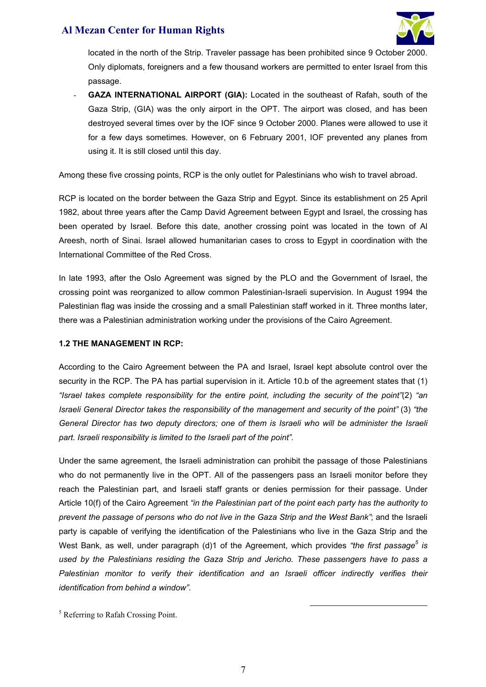

located in the north of the Strip. Traveler passage has been prohibited since 9 October 2000. Only diplomats, foreigners and a few thousand workers are permitted to enter Israel from this passage.

GAZA INTERNATIONAL AIRPORT (GIA): Located in the southeast of Rafah, south of the Gaza Strip, (GIA) was the only airport in the OPT. The airport was closed, and has been destroyed several times over by the IOF since 9 October 2000. Planes were allowed to use it for a few days sometimes. However, on 6 February 2001, IOF prevented any planes from using it. It is still closed until this day.

Among these five crossing points, RCP is the only outlet for Palestinians who wish to travel abroad.

RCP is located on the border between the Gaza Strip and Egypt. Since its establishment on 25 April 1982, about three years after the Camp David Agreement between Egypt and Israel, the crossing has been operated by Israel. Before this date, another crossing point was located in the town of Al Areesh, north of Sinai. Israel allowed humanitarian cases to cross to Egypt in coordination with the International Committee of the Red Cross.

In late 1993, after the Oslo Agreement was signed by the PLO and the Government of Israel, the crossing point was reorganized to allow common Palestinian-Israeli supervision. In August 1994 the Palestinian flag was inside the crossing and a small Palestinian staff worked in it. Three months later, there was a Palestinian administration working under the provisions of the Cairo Agreement.

### **1.2 THE MANAGEMENT IN RCP:**

According to the Cairo Agreement between the PA and Israel, Israel kept absolute control over the security in the RCP. The PA has partial supervision in it. Article 10.b of the agreement states that (1) *"Israel takes complete responsibility for the entire point, including the security of the point"*(2) *"an Israeli General Director takes the responsibility of the management and security of the point"* (3) *"the General Director has two deputy directors; one of them is Israeli who will be administer the Israeli part. Israeli responsibility is limited to the Israeli part of the point".*

Under the same agreement, the Israeli administration can prohibit the passage of those Palestinians who do not permanently live in the OPT. All of the passengers pass an Israeli monitor before they reach the Palestinian part, and Israeli staff grants or denies permission for their passage. Under Article 10(f) of the Cairo Agreement *"in the Palestinian part of the point each party has the authority to prevent the passage of persons who do not live in the Gaza Strip and the West Bank"*; and the Israeli party is capable of verifying the identification of the Palestinians who live in the Gaza Strip and the West Bank, as well, under paragraph (d)1 of the Agreement, which provides *"the first passage<sup>5</sup> is used by the Palestinians residing the Gaza Strip and Jericho. These passengers have to pass a Palestinian monitor to verify their identification and an Israeli officer indirectly verifies their identification from behind a window"*.

<sup>5</sup> Referring to Rafah Crossing Point.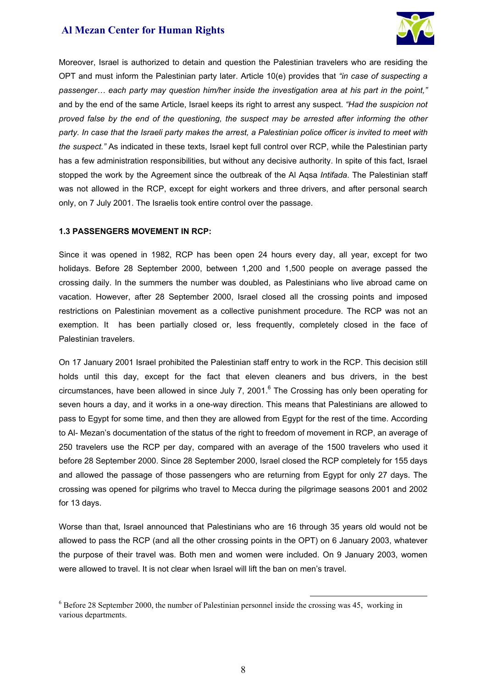

Moreover, Israel is authorized to detain and question the Palestinian travelers who are residing the OPT and must inform the Palestinian party later. Article 10(e) provides that *"in case of suspecting a passenger… each party may question him/her inside the investigation area at his part in the point,"*  and by the end of the same Article, Israel keeps its right to arrest any suspect. *"Had the suspicion not proved false by the end of the questioning, the suspect may be arrested after informing the other party. In case that the Israeli party makes the arrest, a Palestinian police officer is invited to meet with the suspect."* As indicated in these texts, Israel kept full control over RCP, while the Palestinian party has a few administration responsibilities, but without any decisive authority. In spite of this fact, Israel stopped the work by the Agreement since the outbreak of the Al Aqsa *Intifada*. The Palestinian staff was not allowed in the RCP, except for eight workers and three drivers, and after personal search only, on 7 July 2001. The Israelis took entire control over the passage.

### **1.3 PASSENGERS MOVEMENT IN RCP:**

Since it was opened in 1982, RCP has been open 24 hours every day, all year, except for two holidays. Before 28 September 2000, between 1,200 and 1,500 people on average passed the crossing daily. In the summers the number was doubled, as Palestinians who live abroad came on vacation. However, after 28 September 2000, Israel closed all the crossing points and imposed restrictions on Palestinian movement as a collective punishment procedure. The RCP was not an exemption. It has been partially closed or, less frequently, completely closed in the face of Palestinian travelers.

On 17 January 2001 Israel prohibited the Palestinian staff entry to work in the RCP. This decision still holds until this day, except for the fact that eleven cleaners and bus drivers, in the best circumstances, have been allowed in since July 7, 2001.<sup>6</sup> The Crossing has only been operating for seven hours a day, and it works in a one-way direction. This means that Palestinians are allowed to pass to Egypt for some time, and then they are allowed from Egypt for the rest of the time. According to Al- Mezan's documentation of the status of the right to freedom of movement in RCP, an average of 250 travelers use the RCP per day, compared with an average of the 1500 travelers who used it before 28 September 2000. Since 28 September 2000, Israel closed the RCP completely for 155 days and allowed the passage of those passengers who are returning from Egypt for only 27 days. The crossing was opened for pilgrims who travel to Mecca during the pilgrimage seasons 2001 and 2002 for 13 days.

Worse than that, Israel announced that Palestinians who are 16 through 35 years old would not be allowed to pass the RCP (and all the other crossing points in the OPT) on 6 January 2003, whatever the purpose of their travel was. Both men and women were included. On 9 January 2003, women were allowed to travel. It is not clear when Israel will lift the ban on men's travel.

<sup>&</sup>lt;sup>6</sup> Before 28 September 2000, the number of Palestinian personnel inside the crossing was 45, working in various departments.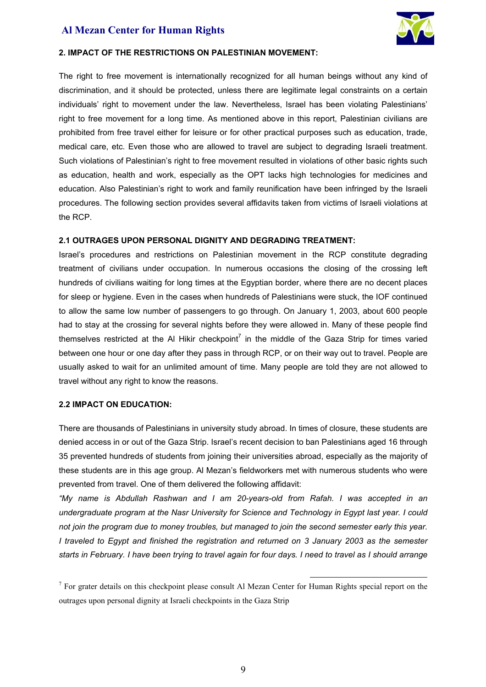

#### **2. IMPACT OF THE RESTRICTIONS ON PALESTINIAN MOVEMENT:**

The right to free movement is internationally recognized for all human beings without any kind of discrimination, and it should be protected, unless there are legitimate legal constraints on a certain individuals' right to movement under the law. Nevertheless, Israel has been violating Palestinians' right to free movement for a long time. As mentioned above in this report, Palestinian civilians are prohibited from free travel either for leisure or for other practical purposes such as education, trade, medical care, etc. Even those who are allowed to travel are subject to degrading Israeli treatment. Such violations of Palestinian's right to free movement resulted in violations of other basic rights such as education, health and work, especially as the OPT lacks high technologies for medicines and education. Also Palestinian's right to work and family reunification have been infringed by the Israeli procedures. The following section provides several affidavits taken from victims of Israeli violations at the RCP.

#### **2.1 OUTRAGES UPON PERSONAL DIGNITY AND DEGRADING TREATMENT:**

Israel's procedures and restrictions on Palestinian movement in the RCP constitute degrading treatment of civilians under occupation. In numerous occasions the closing of the crossing left hundreds of civilians waiting for long times at the Egyptian border, where there are no decent places for sleep or hygiene. Even in the cases when hundreds of Palestinians were stuck, the IOF continued to allow the same low number of passengers to go through. On January 1, 2003, about 600 people had to stay at the crossing for several nights before they were allowed in. Many of these people find themselves restricted at the AI Hikir checkpoint<sup>7</sup> in the middle of the Gaza Strip for times varied between one hour or one day after they pass in through RCP, or on their way out to travel. People are usually asked to wait for an unlimited amount of time. Many people are told they are not allowed to travel without any right to know the reasons.

#### **2.2 IMPACT ON EDUCATION:**

There are thousands of Palestinians in university study abroad. In times of closure, these students are denied access in or out of the Gaza Strip. Israel's recent decision to ban Palestinians aged 16 through 35 prevented hundreds of students from joining their universities abroad, especially as the majority of these students are in this age group. Al Mezan's fieldworkers met with numerous students who were prevented from travel. One of them delivered the following affidavit:

*"My name is Abdullah Rashwan and I am 20-years-old from Rafah. I was accepted in an undergraduate program at the Nasr University for Science and Technology in Egypt last year. I could not join the program due to money troubles, but managed to join the second semester early this year. I traveled to Egypt and finished the registration and returned on 3 January 2003 as the semester starts in February. I have been trying to travel again for four days. I need to travel as I should arrange* 

 $<sup>7</sup>$  For grater details on this checkpoint please consult Al Mezan Center for Human Rights special report on the</sup> outrages upon personal dignity at Israeli checkpoints in the Gaza Strip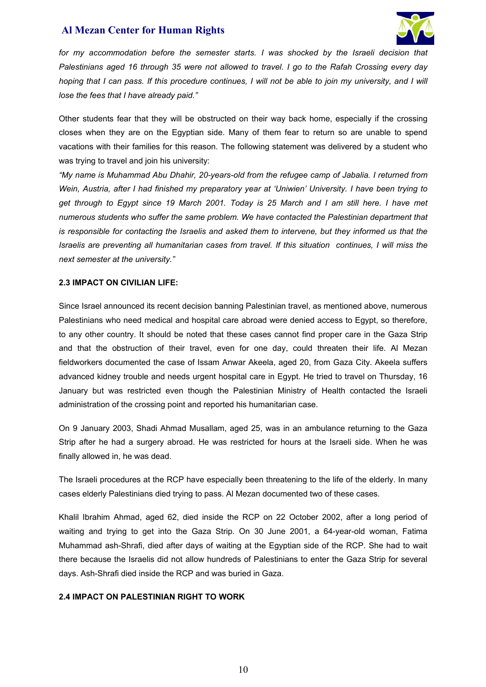

for my accommodation before the semester starts. I was shocked by the Israeli decision that *Palestinians aged 16 through 35 were not allowed to travel. I go to the Rafah Crossing every day hoping that I can pass. If this procedure continues, I will not be able to join my university, and I will lose the fees that I have already paid."*

Other students fear that they will be obstructed on their way back home, especially if the crossing closes when they are on the Egyptian side. Many of them fear to return so are unable to spend vacations with their families for this reason. The following statement was delivered by a student who was trying to travel and join his university:

*"My name is Muhammad Abu Dhahir, 20-years-old from the refugee camp of Jabalia. I returned from Wein, Austria, after I had finished my preparatory year at 'Uniwien' University. I have been trying to get through to Egypt since 19 March 2001. Today is 25 March and I am still here. I have met numerous students who suffer the same problem. We have contacted the Palestinian department that is responsible for contacting the Israelis and asked them to intervene, but they informed us that the Israelis are preventing all humanitarian cases from travel. If this situation continues, I will miss the next semester at the university."*

#### **2.3 IMPACT ON CIVILIAN LIFE:**

Since Israel announced its recent decision banning Palestinian travel, as mentioned above, numerous Palestinians who need medical and hospital care abroad were denied access to Egypt, so therefore, to any other country. It should be noted that these cases cannot find proper care in the Gaza Strip and that the obstruction of their travel, even for one day, could threaten their life. Al Mezan fieldworkers documented the case of Issam Anwar Akeela, aged 20, from Gaza City. Akeela suffers advanced kidney trouble and needs urgent hospital care in Egypt. He tried to travel on Thursday, 16 January but was restricted even though the Palestinian Ministry of Health contacted the Israeli administration of the crossing point and reported his humanitarian case.

On 9 January 2003, Shadi Ahmad Musallam, aged 25, was in an ambulance returning to the Gaza Strip after he had a surgery abroad. He was restricted for hours at the Israeli side. When he was finally allowed in, he was dead.

The Israeli procedures at the RCP have especially been threatening to the life of the elderly. In many cases elderly Palestinians died trying to pass. Al Mezan documented two of these cases.

Khalil Ibrahim Ahmad, aged 62, died inside the RCP on 22 October 2002, after a long period of waiting and trying to get into the Gaza Strip. On 30 June 2001, a 64-year-old woman, Fatima Muhammad ash-Shrafi, died after days of waiting at the Egyptian side of the RCP. She had to wait there because the Israelis did not allow hundreds of Palestinians to enter the Gaza Strip for several days. Ash-Shrafi died inside the RCP and was buried in Gaza.

### **2.4 IMPACT ON PALESTINIAN RIGHT TO WORK**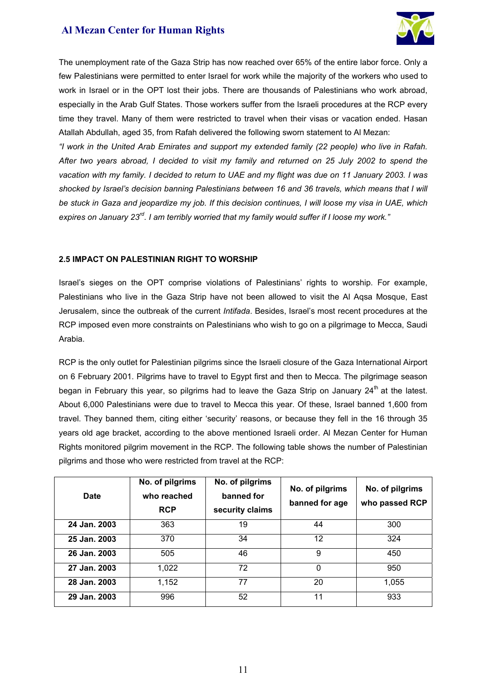

The unemployment rate of the Gaza Strip has now reached over 65% of the entire labor force. Only a few Palestinians were permitted to enter Israel for work while the majority of the workers who used to work in Israel or in the OPT lost their jobs. There are thousands of Palestinians who work abroad, especially in the Arab Gulf States. Those workers suffer from the Israeli procedures at the RCP every time they travel. Many of them were restricted to travel when their visas or vacation ended. Hasan Atallah Abdullah, aged 35, from Rafah delivered the following sworn statement to Al Mezan:

*"I work in the United Arab Emirates and support my extended family (22 people) who live in Rafah. After two years abroad, I decided to visit my family and returned on 25 July 2002 to spend the vacation with my family. I decided to return to UAE and my flight was due on 11 January 2003. I was shocked by Israel's decision banning Palestinians between 16 and 36 travels, which means that I will be stuck in Gaza and jeopardize my job. If this decision continues, I will loose my visa in UAE, which expires on January 23rd. I am terribly worried that my family would suffer if I loose my work."* 

#### **2.5 IMPACT ON PALESTINIAN RIGHT TO WORSHIP**

Israel's sieges on the OPT comprise violations of Palestinians' rights to worship. For example, Palestinians who live in the Gaza Strip have not been allowed to visit the Al Aqsa Mosque, East Jerusalem, since the outbreak of the current *Intifada*. Besides, Israel's most recent procedures at the RCP imposed even more constraints on Palestinians who wish to go on a pilgrimage to Mecca, Saudi Arabia.

RCP is the only outlet for Palestinian pilgrims since the Israeli closure of the Gaza International Airport on 6 February 2001. Pilgrims have to travel to Egypt first and then to Mecca. The pilgrimage season began in February this year, so pilgrims had to leave the Gaza Strip on January 24<sup>th</sup> at the latest. About 6,000 Palestinians were due to travel to Mecca this year. Of these, Israel banned 1,600 from travel. They banned them, citing either 'security' reasons, or because they fell in the 16 through 35 years old age bracket, according to the above mentioned Israeli order. Al Mezan Center for Human Rights monitored pilgrim movement in the RCP. The following table shows the number of Palestinian pilgrims and those who were restricted from travel at the RCP:

| <b>Date</b>  | No. of pilgrims<br>who reached<br><b>RCP</b> | No. of pilgrims<br>banned for<br>security claims | No. of pilgrims<br>banned for age | No. of pilgrims<br>who passed RCP |
|--------------|----------------------------------------------|--------------------------------------------------|-----------------------------------|-----------------------------------|
| 24 Jan. 2003 | 363                                          | 19                                               | 44                                | 300                               |
| 25 Jan. 2003 | 370                                          | 34                                               | 12                                | 324                               |
| 26 Jan. 2003 | 505                                          | 46                                               | 9                                 | 450                               |
| 27 Jan. 2003 | 1,022                                        | 72                                               | $\Omega$                          | 950                               |
| 28 Jan. 2003 | 1,152                                        | 77                                               | 20                                | 1,055                             |
| 29 Jan. 2003 | 996                                          | 52                                               | 11                                | 933                               |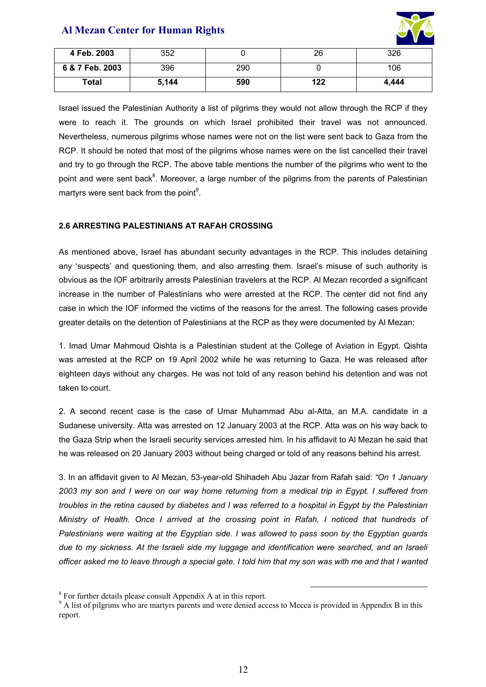

| 4 Feb. 2003     | 352   |     | 26  | 326   |
|-----------------|-------|-----|-----|-------|
| 6 & 7 Feb. 2003 | 396   | 290 |     | 106   |
| Total           | 5,144 | 590 | 122 | 4.444 |

Israel issued the Palestinian Authority a list of pilgrims they would not allow through the RCP if they were to reach it. The grounds on which Israel prohibited their travel was not announced. Nevertheless, numerous pilgrims whose names were not on the list were sent back to Gaza from the RCP. It should be noted that most of the pilgrims whose names were on the list cancelled their travel and try to go through the RCP. The above table mentions the number of the pilgrims who went to the point and were sent back<sup>8</sup>. Moreover, a large number of the pilgrims from the parents of Palestinian martyrs were sent back from the point $^9$ .

### **2.6 ARRESTING PALESTINIANS AT RAFAH CROSSING**

As mentioned above, Israel has abundant security advantages in the RCP. This includes detaining any 'suspects' and questioning them, and also arresting them. Israel's misuse of such authority is obvious as the IOF arbitrarily arrests Palestinian travelers at the RCP. Al Mezan recorded a significant increase in the number of Palestinians who were arrested at the RCP. The center did not find any case in which the IOF informed the victims of the reasons for the arrest. The following cases provide greater details on the detention of Palestinians at the RCP as they were documented by Al Mezan:

1. Imad Umar Mahmoud Qishta is a Palestinian student at the College of Aviation in Egypt. Qishta was arrested at the RCP on 19 April 2002 while he was returning to Gaza. He was released after eighteen days without any charges. He was not told of any reason behind his detention and was not taken to court.

2. A second recent case is the case of Umar Muhammad Abu al-Atta, an M.A. candidate in a Sudanese university. Atta was arrested on 12 January 2003 at the RCP. Atta was on his way back to the Gaza Strip when the Israeli security services arrested him. In his affidavit to Al Mezan he said that he was released on 20 January 2003 without being charged or told of any reasons behind his arrest.

3. In an affidavit given to Al Mezan, 53-year-old Shihadeh Abu Jazar from Rafah said: *"On 1 January 2003 my son and I were on our way home returning from a medical trip in Egypt. I suffered from troubles in the retina caused by diabetes and I was referred to a hospital in Egypt by the Palestinian Ministry of Health. Once I arrived at the crossing point in Rafah, I noticed that hundreds of Palestinians were waiting at the Egyptian side. I was allowed to pass soon by the Egyptian guards due to my sickness. At the Israeli side my luggage and identification were searched, and an Israeli officer asked me to leave through a special gate. I told him that my son was with me and that I wanted* 

<sup>&</sup>lt;sup>8</sup> For further details please consult Appendix A at in this report.

<sup>&</sup>lt;sup>9</sup> A list of pilgrims who are martyrs parents and were denied access to Mecca is provided in Appendix B in this report.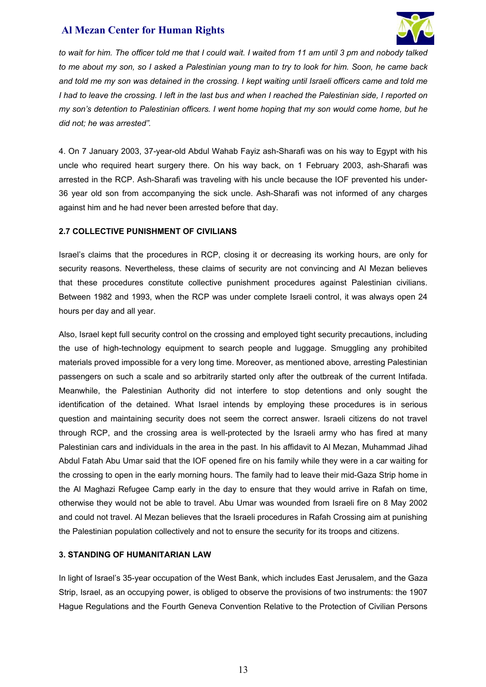

*to wait for him. The officer told me that I could wait. I waited from 11 am until 3 pm and nobody talked to me about my son, so I asked a Palestinian young man to try to look for him. Soon, he came back and told me my son was detained in the crossing. I kept waiting until Israeli officers came and told me I had to leave the crossing. I left in the last bus and when I reached the Palestinian side, I reported on my son's detention to Palestinian officers. I went home hoping that my son would come home, but he did not; he was arrested".* 

4. On 7 January 2003, 37-year-old Abdul Wahab Fayiz ash-Sharafi was on his way to Egypt with his uncle who required heart surgery there. On his way back, on 1 February 2003, ash-Sharafi was arrested in the RCP. Ash-Sharafi was traveling with his uncle because the IOF prevented his under-36 year old son from accompanying the sick uncle. Ash-Sharafi was not informed of any charges against him and he had never been arrested before that day.

### **2.7 COLLECTIVE PUNISHMENT OF CIVILIANS**

Israel's claims that the procedures in RCP, closing it or decreasing its working hours, are only for security reasons. Nevertheless, these claims of security are not convincing and Al Mezan believes that these procedures constitute collective punishment procedures against Palestinian civilians. Between 1982 and 1993, when the RCP was under complete Israeli control, it was always open 24 hours per day and all year.

Also, Israel kept full security control on the crossing and employed tight security precautions, including the use of high-technology equipment to search people and luggage. Smuggling any prohibited materials proved impossible for a very long time. Moreover, as mentioned above, arresting Palestinian passengers on such a scale and so arbitrarily started only after the outbreak of the current Intifada. Meanwhile, the Palestinian Authority did not interfere to stop detentions and only sought the identification of the detained. What Israel intends by employing these procedures is in serious question and maintaining security does not seem the correct answer. Israeli citizens do not travel through RCP, and the crossing area is well-protected by the Israeli army who has fired at many Palestinian cars and individuals in the area in the past. In his affidavit to Al Mezan, Muhammad Jihad Abdul Fatah Abu Umar said that the IOF opened fire on his family while they were in a car waiting for the crossing to open in the early morning hours. The family had to leave their mid-Gaza Strip home in the Al Maghazi Refugee Camp early in the day to ensure that they would arrive in Rafah on time, otherwise they would not be able to travel. Abu Umar was wounded from Israeli fire on 8 May 2002 and could not travel. Al Mezan believes that the Israeli procedures in Rafah Crossing aim at punishing the Palestinian population collectively and not to ensure the security for its troops and citizens.

### **3. STANDING OF HUMANITARIAN LAW**

In light of Israel's 35-year occupation of the West Bank, which includes East Jerusalem, and the Gaza Strip, Israel, as an occupying power, is obliged to observe the provisions of two instruments: the 1907 Hague Regulations and the Fourth Geneva Convention Relative to the Protection of Civilian Persons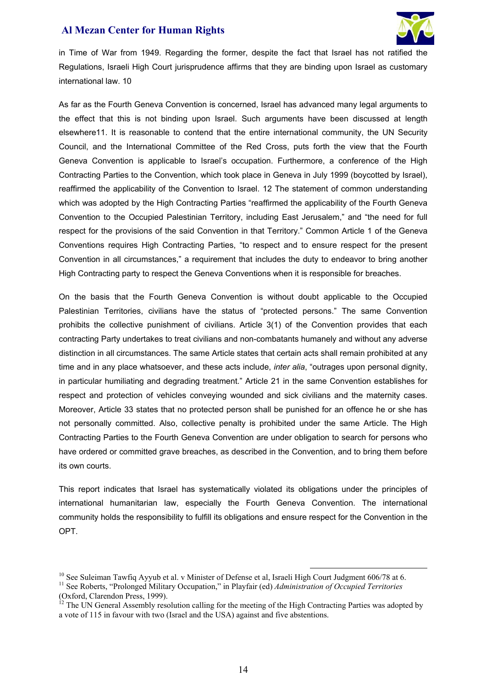

in Time of War from 1949. Regarding the former, despite the fact that Israel has not ratified the Regulations, Israeli High Court jurisprudence affirms that they are binding upon Israel as customary international law. 10

As far as the Fourth Geneva Convention is concerned, Israel has advanced many legal arguments to the effect that this is not binding upon Israel. Such arguments have been discussed at length elsewhere11. It is reasonable to contend that the entire international community, the UN Security Council, and the International Committee of the Red Cross, puts forth the view that the Fourth Geneva Convention is applicable to Israel's occupation. Furthermore, a conference of the High Contracting Parties to the Convention, which took place in Geneva in July 1999 (boycotted by Israel), reaffirmed the applicability of the Convention to Israel. 12 The statement of common understanding which was adopted by the High Contracting Parties "reaffirmed the applicability of the Fourth Geneva Convention to the Occupied Palestinian Territory, including East Jerusalem," and "the need for full respect for the provisions of the said Convention in that Territory." Common Article 1 of the Geneva Conventions requires High Contracting Parties, "to respect and to ensure respect for the present Convention in all circumstances," a requirement that includes the duty to endeavor to bring another High Contracting party to respect the Geneva Conventions when it is responsible for breaches.

On the basis that the Fourth Geneva Convention is without doubt applicable to the Occupied Palestinian Territories, civilians have the status of "protected persons." The same Convention prohibits the collective punishment of civilians. Article 3(1) of the Convention provides that each contracting Party undertakes to treat civilians and non-combatants humanely and without any adverse distinction in all circumstances. The same Article states that certain acts shall remain prohibited at any time and in any place whatsoever, and these acts include, *inter alia*, "outrages upon personal dignity, in particular humiliating and degrading treatment." Article 21 in the same Convention establishes for respect and protection of vehicles conveying wounded and sick civilians and the maternity cases. Moreover, Article 33 states that no protected person shall be punished for an offence he or she has not personally committed. Also, collective penalty is prohibited under the same Article. The High Contracting Parties to the Fourth Geneva Convention are under obligation to search for persons who have ordered or committed grave breaches, as described in the Convention, and to bring them before its own courts.

This report indicates that Israel has systematically violated its obligations under the principles of international humanitarian law, especially the Fourth Geneva Convention. The international community holds the responsibility to fulfill its obligations and ensure respect for the Convention in the OPT.

<sup>&</sup>lt;sup>10</sup> See Suleiman Tawfiq Ayyub et al. v Minister of Defense et al, Israeli High Court Judgment 606/78 at 6.<br><sup>11</sup> See Roberts, "Prolonged Military Occupation," in Playfair (ed) *Administration of Occupied Territories* (Oxford, Clarendon Press, 1999).

 $12$  The UN General Assembly resolution calling for the meeting of the High Contracting Parties was adopted by a vote of 115 in favour with two (Israel and the USA) against and five abstentions.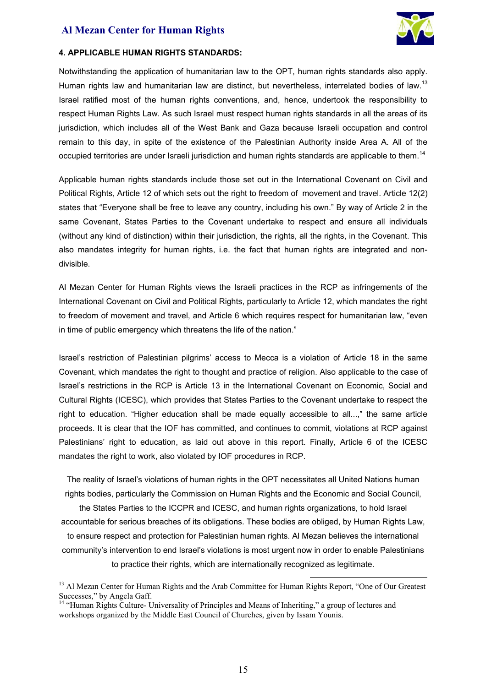

#### **4. APPLICABLE HUMAN RIGHTS STANDARDS:**

Notwithstanding the application of humanitarian law to the OPT, human rights standards also apply. Human rights law and humanitarian law are distinct, but nevertheless, interrelated bodies of law.<sup>13</sup> Israel ratified most of the human rights conventions, and, hence, undertook the responsibility to respect Human Rights Law. As such Israel must respect human rights standards in all the areas of its jurisdiction, which includes all of the West Bank and Gaza because Israeli occupation and control remain to this day, in spite of the existence of the Palestinian Authority inside Area A. All of the occupied territories are under Israeli jurisdiction and human rights standards are applicable to them.<sup>14</sup>

Applicable human rights standards include those set out in the International Covenant on Civil and Political Rights, Article 12 of which sets out the right to freedom of movement and travel. Article 12(2) states that "Everyone shall be free to leave any country, including his own." By way of Article 2 in the same Covenant, States Parties to the Covenant undertake to respect and ensure all individuals (without any kind of distinction) within their jurisdiction, the rights, all the rights, in the Covenant. This also mandates integrity for human rights, i.e. the fact that human rights are integrated and nondivisible.

Al Mezan Center for Human Rights views the Israeli practices in the RCP as infringements of the International Covenant on Civil and Political Rights, particularly to Article 12, which mandates the right to freedom of movement and travel, and Article 6 which requires respect for humanitarian law, "even in time of public emergency which threatens the life of the nation."

Israel's restriction of Palestinian pilgrims' access to Mecca is a violation of Article 18 in the same Covenant, which mandates the right to thought and practice of religion. Also applicable to the case of Israel's restrictions in the RCP is Article 13 in the International Covenant on Economic, Social and Cultural Rights (ICESC), which provides that States Parties to the Covenant undertake to respect the right to education. "Higher education shall be made equally accessible to all...," the same article proceeds. It is clear that the IOF has committed, and continues to commit, violations at RCP against Palestinians' right to education, as laid out above in this report. Finally, Article 6 of the ICESC mandates the right to work, also violated by IOF procedures in RCP.

The reality of Israel's violations of human rights in the OPT necessitates all United Nations human rights bodies, particularly the Commission on Human Rights and the Economic and Social Council,

the States Parties to the ICCPR and ICESC, and human rights organizations, to hold Israel accountable for serious breaches of its obligations. These bodies are obliged, by Human Rights Law, to ensure respect and protection for Palestinian human rights. Al Mezan believes the international community's intervention to end Israel's violations is most urgent now in order to enable Palestinians to practice their rights, which are internationally recognized as legitimate.

<sup>&</sup>lt;sup>13</sup> Al Mezan Center for Human Rights and the Arab Committee for Human Rights Report, "One of Our Greatest" Successes," by Angela Gaff.

<sup>&</sup>lt;sup>14</sup> "Human Rights Culture- Universality of Principles and Means of Inheriting," a group of lectures and workshops organized by the Middle East Council of Churches, given by Issam Younis.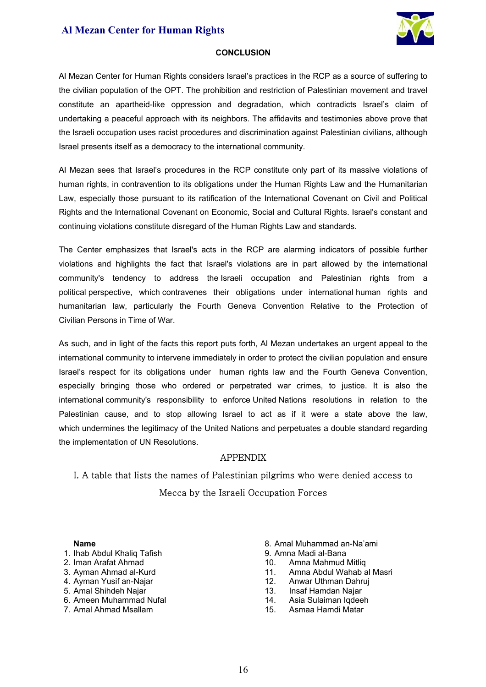

### **CONCLUSION**

Al Mezan Center for Human Rights considers Israel's practices in the RCP as a source of suffering to the civilian population of the OPT. The prohibition and restriction of Palestinian movement and travel constitute an apartheid-like oppression and degradation, which contradicts Israel's claim of undertaking a peaceful approach with its neighbors. The affidavits and testimonies above prove that the Israeli occupation uses racist procedures and discrimination against Palestinian civilians, although Israel presents itself as a democracy to the international community.

Al Mezan sees that Israel's procedures in the RCP constitute only part of its massive violations of human rights, in contravention to its obligations under the Human Rights Law and the Humanitarian Law, especially those pursuant to its ratification of the International Covenant on Civil and Political Rights and the International Covenant on Economic, Social and Cultural Rights. Israel's constant and continuing violations constitute disregard of the Human Rights Law and standards.

The Center emphasizes that Israel's acts in the RCP are alarming indicators of possible further violations and highlights the fact that Israel's violations are in part allowed by the international community's tendency to address the Israeli occupation and Palestinian rights from a political perspective, which contravenes their obligations under international human rights and humanitarian law, particularly the Fourth Geneva Convention Relative to the Protection of Civilian Persons in Time of War.

As such, and in light of the facts this report puts forth, Al Mezan undertakes an urgent appeal to the international community to intervene immediately in order to protect the civilian population and ensure Israel's respect for its obligations under human rights law and the Fourth Geneva Convention, especially bringing those who ordered or perpetrated war crimes, to justice. It is also the international community's responsibility to enforce United Nations resolutions in relation to the Palestinian cause, and to stop allowing Israel to act as if it were a state above the law, which undermines the legitimacy of the United Nations and perpetuates a double standard regarding the implementation of UN Resolutions.

### **APPENDIX**

# I. A table that lists the names of Palestinian pilgrims who were denied access to Mecca by the Israeli Occupation Forces

#### **Name**

- 1. Ihab Abdul Khaliq Tafish
- 2. Iman Arafat Ahmad
- 3. Ayman Ahmad al-Kurd
- 4. Ayman Yusif an-Najar
- 5. Amal Shihdeh Najar
- 6. Ameen Muhammad Nufal
- 7. Amal Ahmad Msallam
- 8. Amal Muhammad an-Na'ami
- 9. Amna Madi al-Bana
- 10. Amna Mahmud Mitliq
- 11. Amna Abdul Wahab al Masri
- 12. Anwar Uthman Dahruj
- 13. Insaf Hamdan Najar
- 14. Asia Sulaiman Iqdeeh
- 15. Asmaa Hamdi Matar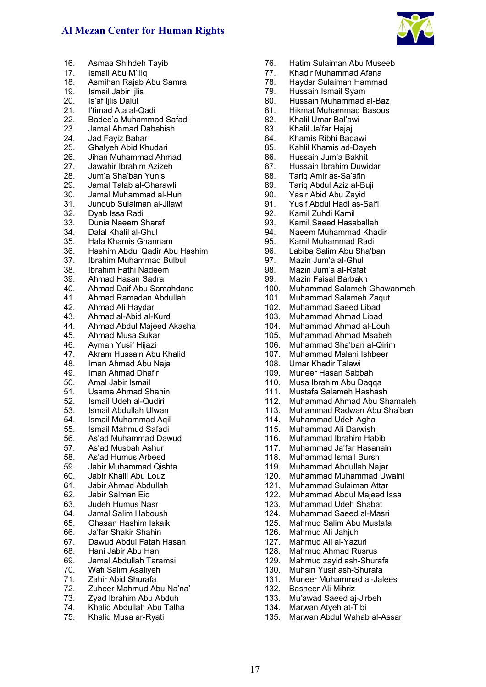

- 16. Asmaa Shihdeh Tayib
- 17. Ismail Abu M'iliq
- 18. Asmihan Rajab Abu Samra
- 19. Ismail Jabir Ijlis
- 20. Is'af lilis Dalul
- 21. I'timad Ata al-Qadi
- 22. Badee'a Muhammad Safadi
- 23. Jamal Ahmad Dababish<br>24. Jad Faviz Bahar
- 24. Jad Fayiz Bahar<br>25. Ghalveh Abid Kh
- 25. Ghalyeh Abid Khudari
- 26. Jihan Muhammad Ahmad
- 27. Jawahir Ibrahim Azizeh
- 28. Jum'a Sha'ban Yunis
- 29. Jamal Talab al-Gharawli
- 30. Jamal Muhammad al-Hun
- 31. Junoub Sulaiman al-Jilawi
- 32. Dyab Issa Radi
- 33. Dunia Naeem Sharaf
- 34. Dalal Khalil al-Ghul
- 35. Hala Khamis Ghannam
- 36. Hashim Abdul Qadir Abu Hashim
- 37. Ibrahim Muhammad Bulbul
- 38. Ibrahim Fathi Nadeem
- 39. Ahmad Hasan Sadra
- 40. Ahmad Daif Abu Samahdana
- 41. Ahmad Ramadan Abdullah
- 42. Ahmad Ali Haydar
- 43. Ahmad al-Abid al-Kurd
- 44. Ahmad Abdul Majeed Akasha<br>45. Ahmad Musa Sukar
- 45. Ahmad Musa Sukar<br>46. Ayman Yusif Hijazi
- Ayman Yusif Hijazi
- 47. Akram Hussain Abu Khalid<br>48. Iman Ahmad Abu Naja
- Iman Ahmad Abu Naja
- 49. Iman Ahmad Dhafir
- 50. Amal Jabir Ismail
- 51. Usama Ahmad Shahin
- 52. Ismail Udeh al-Qudiri
- 53. Ismail Abdullah Ulwan
- 54. Ismail Muhammad Aqil
- 55. Ismail Mahmud Safadi
- 56. As'ad Muhammad Dawud
- 57. As'ad Musbah Ashur
- 58. As'ad Humus Arbeed
- 59. Jabir Muhammad Qishta
- 60. Jabir Khalil Abu Louz
- 61. Jabir Ahmad Abdullah
- 62. Jabir Salman Eid
- 63. Judeh Humus Nasr<br>64. Jamal Salim Habou
- 64. Jamal Salim Haboush
- 65. Ghasan Hashim Iskaik
- 66. Ja'far Shakir Shahin
- 67. Dawud Abdul Fatah Hasan
- 68. Hani Jabir Abu Hani
- 69. Jamal Abdullah Taramsi
- 70. Wafi Salim Asaliyeh
- 71. Zahir Abid Shurafa
- 72. Zuheer Mahmud Abu Na'na'
- 73. Zyad Ibrahim Abu Abduh
- 74. Khalid Abdullah Abu Talha

17

75. Khalid Musa ar-Ryati

- 76. Hatim Sulaiman Abu Museeb
- 77. Khadir Muhammad Afana
- 78. Haydar Sulaiman Hammad
- 79. Hussain Ismail Syam
- 80. Hussain Muhammad al-Baz
- 81. Hikmat Muhammad Basous
- 82. Khalil Umar Bal'awi
- 83. Khalil Ja'far Hajaj<br>84. Khamis Ribhi Bad
- 84. Khamis Ribhi Badawi<br>85. Kahlil Khamis ad-Dav
- 85. Kahlil Khamis ad-Dayeh
- 86. Hussain Jum'a Bakhit
- 87. Hussain Ibrahim Duwidar
- 88. Tariq Amir as-Sa'afin
- 89. Tariq Abdul Aziz al-Buji
- 90. Yasir Abid Abu Zayid
- 91. Yusif Abdul Hadi as-Saifi
- 92. Kamil Zuhdi Kamil
- 93. Kamil Saeed Hasaballah
- 94. Naeem Muhammad Khadir
- 95. Kamil Muhammad Radi
- 96. Labiba Salim Abu Sha'ban
- 97. Mazin Jum'a al-Ghul
- 98. Mazin Jum'a al-Rafat
- 99. Mazin Faisal Barbakh
- 100. Muhammad Salameh Ghawanmeh
- 101. Muhammad Salameh Zaqut<br>102. Muhammad Saeed Libad
- 102. Muhammad Saeed Libad<br>103. Muhammad Ahmad Libad
- 103. Muhammad Ahmad Libad
- 104. Muhammad Ahmad al-Louh<br>105. Muhammad Ahmad Msabeh
- 105. Muhammad Ahmad Msabeh<br>106. Muhammad Sha'ban al-Qirin
- Muhammad Sha'ban al-Qirim
- 107. Muhammad Malahi Ishbeer
- 108. Umar Khadir Talawi
- 109. Muneer Hasan Sabbah
- 110. Musa Ibrahim Abu Daqqa
- 111. Mustafa Salameh Hashash

115. Muhammad Ali Darwish 116. Muhammad Ibrahim Habib 117. Muhammad Ja'far Hasanain 118. Muhammad Ismail Bursh 119. Muhammad Abdullah Najar 120. Muhammad Muhammad Uwaini 121. Muhammad Sulaiman Attar 122. Muhammad Abdul Majeed Issa<br>123. Muhammad Udeh Shabat 123. Muhammad Udeh Shabat<br>124. Muhammad Saeed al-Mas 124. Muhammad Saeed al-Masri

125. Mahmud Salim Abu Mustafa<br>126. Mahmud Ali Jahjuh

130. Muhsin Yusif ash-Shurafa 131. Muneer Muhammad al-Jalees

Mahmud zayid ash-Shurafa

135. Marwan Abdul Wahab al-Assar

126. Mahmud Ali Jahjuh<br>127. Mahmud Ali al-Yazu 127. Mahmud Ali al-Yazuri<br>128. Mahmud Ahmad Rusr 128. Mahmud Ahmad Rusrus<br>129. Mahmud zavid ash-Shur

132. Basheer Ali Mihriz 133. Mu'awad Saeed aj-Jirbeh 134. Marwan Atyeh at-Tibi

- 112. Muhammad Ahmad Abu Shamaleh
- 113. Muhammad Radwan Abu Sha'ban 114. Muhammad Udeh Agha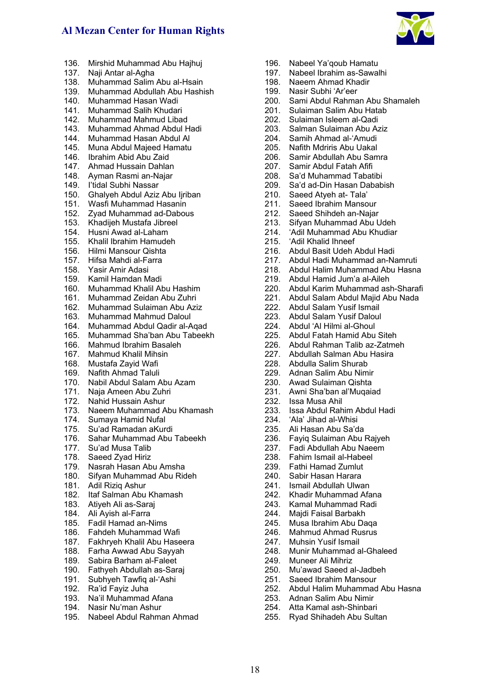

- 136. Mirshid Muhammad Abu Hajhuj
- 137. Naji Antar al-Agha
- 138. Muhammad Salim Abu al-Hsain
- 139. Muhammad Abdullah Abu Hashish
- 140. Muhammad Hasan Wadi
- 141. Muhammad Salih Khudari
- 142. Muhammad Mahmud Libad
- 143. Muhammad Ahmad Abdul Hadi<br>144. Muhammad Hasan Abdul Al
- 144. Muhammad Hasan Abdul Al
- 145. Muna Abdul Majeed Hamatu
- 146. Ibrahim Abid Abu Zaid
- 147. Ahmad Hussain Dahlan
- 148. Ayman Rasmi an-Najar
- 149. I'tidal Subhi Nassar
- 150. Ghalyeh Abdul Aziz Abu Iiriban
- 151. Wasfi Muhammad Hasanin
- 152. Zyad Muhammad ad-Dabous
- 153. Khadijeh Mustafa Jibreel
- 154. Husni Awad al-Laham
- 155. Khalil Ibrahim Hamudeh
- 156. Hilmi Mansour Qishta
- 157. Hifsa Mahdi al-Farra
- 158. Yasir Amir Adasi
- 159. Kamil Hamdan Madi
- 160. Muhammad Khalil Abu Hashim
- 161. Muhammad Zeidan Abu Zuhri
- 162. Muhammad Sulaiman Abu Aziz
- 163. Muhammad Mahmud Daloul
- 164. Muhammad Abdul Qadir al-Aqad
- 165. Muhammad Sha'ban Abu Tabeekh
- 166. Mahmud Ibrahim Basaleh
- 167. Mahmud Khalil Mihsin
- 168. Mustafa Zayid Wafi
- 169. Nafith Ahmad Taluli
- 170. Nabil Abdul Salam Abu Azam
- 171. Naja Ameen Abu Zuhri
- 172. Nahid Hussain Ashur
- 173. Naeem Muhammad Abu Khamash
- 174. Sumaya Hamid Nufal
- 175. Su'ad Ramadan aKurdi
- 176. Sahar Muhammad Abu Tabeekh
- 177. Su'ad Musa Talib<br>178. Saeed Zvad Hiriz
- Saeed Zyad Hiriz
- 179. Nasrah Hasan Abu Amsha
- 180. Sifyan Muhammad Abu Rideh<br>181. Adil Rizig Ashur
- Adil Rizig Ashur
- 182. Itaf Salman Abu Khamash
- 183. Atiyeh Ali as-Saraj
- 184. Ali Ayish al-Farra
- 185. Fadil Hamad an-Nims
- 186. Fahdeh Muhammad Wafi
- 187. Fakhryeh Khalil Abu Haseera
- 188. Farha Awwad Abu Sayyah
- 189. Sabira Barham al-Faleet
- 190. Fathyeh Abdullah as-Saraj
- 191. Subhyeh Tawfiq al-'Ashi
- 192. Ra'id Fayiz Juha
- 193. Na'il Muhammad Afana
- 194. Nasir Nu'man Ashur
- 195. Nabeel Abdul Rahman Ahmad

18

- 196. Nabeel Ya'qoub Hamatu
- 197. Nabeel Ibrahim as-Sawalhi
- 198. Naeem Ahmad Khadir
- 199. Nasir Subhi 'Ar'eer
- 200. Sami Abdul Rahman Abu Shamaleh
- 201. Sulaiman Salim Abu Hatab
- 202. Sulaiman Isleem al-Qadi
- 203. Salman Sulaiman Abu Aziz<br>204. Samih Ahmad al-'Amudi
- 204. Samih Ahmad al-'Amudi<br>205. Nafith Mdriris Abu Uakal
- **Nafith Mdriris Abu Uakal**
- 206. Samir Abdullah Abu Samra
- 207. Samir Abdul Fatah Afifi
- 208. Sa'd Muhammad Tabatibi
- 209. Sa'd ad-Din Hasan Dababish
- 210. Saeed Atyeh at- Tala'
- 211. Saeed Ibrahim Mansour
- 212. Saeed Shihdeh an-Najar
- 213. Sifyan Muhammad Abu Udeh
- 214. 'Adil Muhammad Abu Khudiar
- 215. 'Adil Khalid Ihneef
- 216. Abdul Basit Udeh Abdul Hadi
- 217. Abdul Hadi Muhammad an-Namruti
- 218. Abdul Halim Muhammad Abu Hasna
- 219. Abdul Hamid Jum'a al-Aileh
- 220. Abdul Karim Muhammad ash-Sharafi
- 221. Abdul Salam Abdul Majid Abu Nada<br>222. Abdul Salam Yusif Ismail
- 222. Abdul Salam Yusif Ismail<br>223. Abdul Salam Yusif Dalou
- Abdul Salam Yusif Daloul
- 224. Abdul 'Al Hilmi al-Ghoul<br>225. Abdul Fatah Hamid Abu
- 225. Abdul Fatah Hamid Abu Siteh<br>226. Abdul Rahman Talib az-Zatme
- 226. Abdul Rahman Talib az-Zatmeh
- 227. Abdullah Salman Abu Hasira
- 228. Abdulla Salim Shurab
- 229. Adnan Salim Abu Nimir
- 230. Awad Sulaiman Qishta

235. Ali Hasan Abu Sa'da

244. Majdi Faisal Barbakh 245. Musa Ibrahim Abu Daqa 246. Mahmud Ahmad Rusrus<br>247. Muhsin Yusif Ismail **Muhsin Yusif Ismail** 248. Munir Muhammad al-Ghaleed<br>249. Muneer Ali Mihriz Muneer Ali Mihriz 250. Mu'awad Saeed al-Jadbeh 251. Saeed Ibrahim Mansour

253. Adnan Salim Abu Nimir 254. Atta Kamal ash-Shinbari 255. Ryad Shihadeh Abu Sultan

252. Abdul Halim Muhammad Abu Hasna

- 231. Awni Sha'ban al'Muqaiad
- 232. Issa Musa Ahil
- 233. Issa Abdul Rahim Abdul Hadi 234. 'Ala' Jihad al-Whisi

236. Fayiq Sulaiman Abu Rajyeh 237. Fadi Abdullah Abu Naeem 238. Fahim Ismail al-Habeel 239. Fathi Hamad Zumlut 240. Sabir Hasan Harara 241. Ismail Abdullah Ulwan 242. Khadir Muhammad Afana<br>243. Kamal Muhammad Radi Kamal Muhammad Radi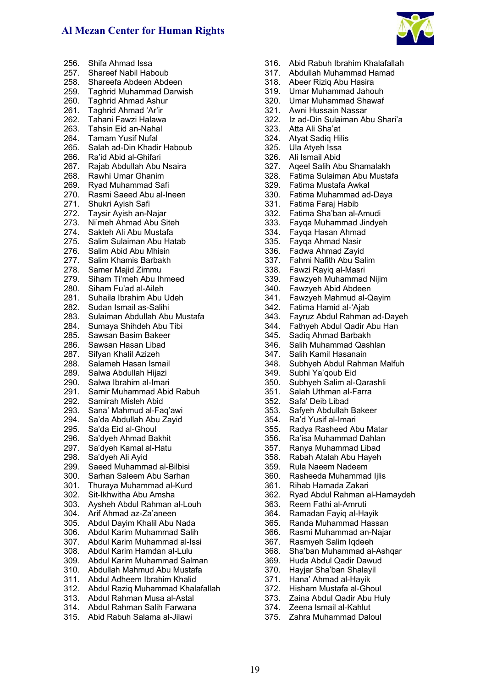

|              | 256. Shifa Ahmad Issa                                                                                                  |
|--------------|------------------------------------------------------------------------------------------------------------------------|
|              | 257. Shareef Nabil Haboub                                                                                              |
|              | 258. Shareefa Abdeen Abdeen                                                                                            |
|              | 259. Taghrid Muhammad Darwish                                                                                          |
|              | 260. Taghrid Ahmad Ashur                                                                                               |
| 261.         | Taghrid Ahmad 'Ar'ir                                                                                                   |
|              | Tahani Fawzi Halawa                                                                                                    |
| 262.<br>263. | Tahsin Eid an-Nahal                                                                                                    |
| 264.         | <b>Tamam Yusif Nufal</b>                                                                                               |
|              | 265. Salah ad-Din Khadir Haboub                                                                                        |
|              | 266. Ra'id Abid al-Ghifari                                                                                             |
|              | 267. Rajab Abdullah Abu Nsaira                                                                                         |
| 268.         | Rawhi Umar Ghanim                                                                                                      |
| 269.         | Ryad Muhammad Safi                                                                                                     |
| 270.         | Rasmi Saeed Abu al-Ineen                                                                                               |
| 271.         | Shukri Ayish Safi                                                                                                      |
| 272.         | Taysir Ayish an-Najar                                                                                                  |
|              | 273. Ni'meh Ahmad Abu Siteh                                                                                            |
| 274.<br>275. | Sakteh Ali Abu Mustafa                                                                                                 |
|              | Salim Sulaiman Abu Hatab                                                                                               |
|              | 276. Salim Abid Abu Mhisin                                                                                             |
|              | 277. Salim Khamis Barbakh                                                                                              |
| 278.         | Samer Majid Zimmu                                                                                                      |
|              | 279. Siham Ti'meh Abu Ihmeed                                                                                           |
|              | 280. Siham Fu'ad al-Aileh                                                                                              |
|              | 281. Suhaila Ibrahim Abu Udeh                                                                                          |
|              | 282. Sudan Ismail as-Salihi                                                                                            |
| 283.         | Sulaiman Abdullah Abu Mustafa                                                                                          |
| 284.         | Sumaya Shihdeh Abu Tibi                                                                                                |
| 285.         | Sawsan Basim Bakeer                                                                                                    |
|              | 286.   Sawsan Hasan Libad<br>287.   Sifyan Khalil Azizeh<br>288.   Salameh Hasan Ismai<br>289.   Salwa Abdullah Hijazi |
|              | Salameh Hasan Ismail                                                                                                   |
|              |                                                                                                                        |
|              | 290. Salwa Ibrahim al-Imari                                                                                            |
|              | 291. Samir Muhammad Abid Rabuh                                                                                         |
|              | 292. Samirah Misleh Abid                                                                                               |
|              | 293. Sana' Mahmud al-Faq'awi                                                                                           |
| 294.         | Sa'da Abdullah Abu Zayid                                                                                               |
| 295.         | Sa'da Eid al-Ghoul                                                                                                     |
| 296.         | Sa'dyeh Ahmad Bakhit                                                                                                   |
| 297.         | Sa'dyeh Kamal al-Hatu                                                                                                  |
| 298.         | Sa'dyeh Ali Ayid                                                                                                       |
| 299.         | Saeed Muhammad al-Bilbisi                                                                                              |
| 300.         | Sarhan Saleem Abu Sarhan                                                                                               |
| 301.         | Thuraya Muhammad al-Kurd                                                                                               |
| 302.         | Sit-Ikhwitha Abu Amsha                                                                                                 |
| 303.         | Aysheh Abdul Rahman al-Louh                                                                                            |
| 304.         | Arif Ahmad az-Za'aneen                                                                                                 |
| 305.         | Abdul Dayim Khalil Abu Nada                                                                                            |
| 306.         | Abdul Karim Muhammad Salih                                                                                             |
| 307.         | Abdul Karim Muhammad al-Issi                                                                                           |
| 308.         | Abdul Karim Hamdan al-Lulu                                                                                             |
| 309.         | Abdul Karim Muhammad Salman                                                                                            |
| 310.         | Abdullah Mahmud Abu Mustafa                                                                                            |
| 311.         | Abdul Adheem Ibrahim Khalid                                                                                            |
| 312.         | Abdul Raziq Muhammad Khalafallah                                                                                       |
| ົ            | 313. Abdul Rahman Musa al-Astal                                                                                        |
|              |                                                                                                                        |

314. Abdul Rahman Salih Farwana 315. Abid Rabuh Salama al-Jilawi

- 316. Abid Rabuh Ibrahim Khalafallah
- 317. Abdullah Muhammad Hamad
- 318. Abeer Riziq Abu Hasira
- 319. Umar Muhammad Jahouh
- 320. Umar Muhammad Shawaf
- 321. Awni Hussain Nassar
- 322. Iz ad-Din Sulaiman Abu Shari'a
- 323. Atta Ali Sha'at
- 324. Atyat Sadiq Hilis
- 325. Ula Atyeh Issa
- 326. Ali Ismail Abid
- 327. Aqeel Salih Abu Shamalakh
- 328. Fatima Sulaiman Abu Mustafa
- 329. Fatima Mustafa Awkal
- 330. Fatima Muhammad ad-Daya
- 331. Fatima Faraj Habib
- 332. Fatima Sha'ban al-Amudi
- 333. Fayqa Muhammad Jindyeh
- 334. Fayqa Hasan Ahmad
- 335. Fayqa Ahmad Nasir
- 336. Fadwa Ahmad Zayid
- 337. Fahmi Nafith Abu Salim
- 338. Fawzi Rayiq al-Masri
- 339. Fawzyeh Muhammad Nijim
- 340. Fawzyeh Abid Abdeen
- 341. Fawzyeh Mahmud al-Qayim
- 342. Fatima Hamid al-'Ajab
- 343. Fayruz Abdul Rahman ad-Dayeh
- 344. Fathyeh Abdul Qadir Abu Han
- 345. Sadiq Ahmad Barbakh
- 346. Salih Muhammad Qashlan
- 347. Salih Kamil Hasanain
- 348. Subhyeh Abdul Rahman Malfuh
- 349. Subhi Ya'qoub Eid
- 350. Subhyeh Salim al-Qarashli
- 351. Salah Uthman al-Farra
- 352. Safa' Deib Libad
- 353. Safyeh Abdullah Bakeer
- 354. Ra'd Yusif al-Imari
- 355. Radya Rasheed Abu Matar
- 356. Ra'isa Muhammad Dahlan
- 357. Ranya Muhammad Libad
- 358. Rabah Atalah Abu Hayeh
- 359. Rula Naeem Nadeem
- 360. Rasheeda Muhammad Ijlis
- 361. Rihab Hamada Zakari
- 362. Ryad Abdul Rahman al-Hamaydeh
- 363. Reem Fathi al-Amruti
- 364. Ramadan Fayiq al-Hayik
- 365. Randa Muhammad Hassan
- 366. Rasmi Muhammad an-Najar
- 367. Rasmyeh Salim Iqdeeh
- 368. Sha'ban Muhammad al-Ashqar
- 369. Huda Abdul Qadir Dawud
- 370. Hayjar Sha'ban Shalayil
- 371. Hana' Ahmad al-Hayik
- 372. Hisham Mustafa al-Ghoul
- 373. Zaina Abdul Qadir Abu Huly
- 374. Zeena Ismail al-Kahlut
- 375. Zahra Muhammad Daloul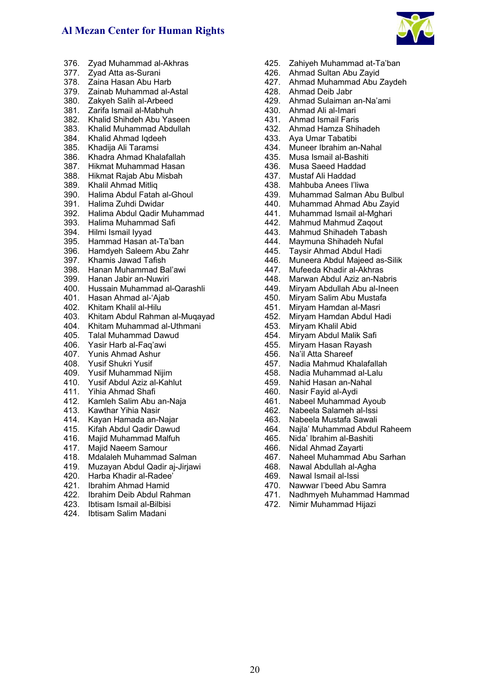

- 376. Zyad Muhammad al-Akhras
- 377. Zyad Atta as-Surani
- Zaina Hasan Abu Harb
- 379. Zainab Muhammad al-Astal
- 380. Zakyeh Salih al-Arbeed
- 381. Zarifa Ismail al-Mabhuh
- 382. Khalid Shihdeh Abu Yaseen
- 383. Khalid Muhammad Abdullah
- 384. Khalid Ahmad Iqdeeh
- 385. Khadija Ali Taramsi
- 386. Khadra Ahmad Khalafallah
- 387. Hikmat Muhammad Hasan
- 388. Hikmat Rajab Abu Misbah
- 389. Khalil Ahmad Mitliq
- 390. Halima Abdul Fatah al-Ghoul
- 391. Halima Zuhdi Dwidar
- 392. Halima Abdul Qadir Muhammad
- 393. Halima Muhammad Safi
- 394. Hilmi Ismail Iyyad
- 395. Hammad Hasan at-Ta'ban
- 396. Hamdyeh Saleem Abu Zahr
- 397. Khamis Jawad Tafish
- 398. Hanan Muhammad Bal'awi
- 399. Hanan Jabir an-Nuwiri
- 400. Hussain Muhammad al-Qarashli
- 401. Hasan Ahmad al-'Ajab<br>402. Khitam Khalil al-Hilu
- 402. Khitam Khalil al-Hilu
- 403. Khitam Abdul Rahman al-Muqayad
- 404. Khitam Muhammad al-Uthmani
- 405. Talal Muhammad Dawud
- 406. Yasir Harb al-Faq'awi
- 407. Yunis Ahmad Ashur
- 408. Yusif Shukri Yusif
- 409. Yusif Muhammad Nijim
- 410. Yusif Abdul Aziz al-Kahlut
- 411. Yihia Ahmad Shafi
- 412. Kamleh Salim Abu an-Naja
- 413. Kawthar Yihia Nasir
- 414. Kayan Hamada an-Najar
- 415. Kifah Abdul Qadir Dawud
- 416. Majid Muhammad Malfuh<br>417. Majid Naeem Samour
- Majid Naeem Samour
- 418. Mdalaleh Muhammad Salman
- 419. Muzayan Abdul Qadir aj-Jirjawi
- 420. Harba Khadir al-Radee'
- 421. Ibrahim Ahmad Hamid
- 422. Ibrahim Deib Abdul Rahman
- 423. Ibtisam Ismail al-Bilbisi
- 424. Ibtisam Salim Madani
- 425. Zahiyeh Muhammad at-Ta'ban
- 426. Ahmad Sultan Abu Zayid
- 427. Ahmad Muhammad Abu Zaydeh
- 428. Ahmad Deib Jabr
- 429. Ahmad Sulaiman an-Na'ami
- 430. Ahmad Ali al-Imari
- 431. Ahmad Ismail Faris
- 432. Ahmad Hamza Shihadeh
- 433. Aya Umar Tabatibi
- 434. Muneer Ibrahim an-Nahal
- 435. Musa Ismail al-Bashiti
- 436. Musa Saeed Haddad
- 437. Mustaf Ali Haddad
- 438. Mahbuba Anees I'liwa
- 439. Muhammad Salman Abu Bulbul
- 440. Muhammad Ahmad Abu Zayid
- 441. Muhammad Ismail al-Mghari
- 442. Mahmud Mahmud Zaqout
- 443. Mahmud Shihadeh Tabash
- 444. Maymuna Shihadeh Nufal
- 445. Taysir Ahmad Abdul Hadi
- 446. Muneera Abdul Majeed as-Silik
- 447. Mufeeda Khadir al-Akhras
- 448. Marwan Abdul Aziz an-Nabris
- 449. Miryam Abdullah Abu al-Ineen
- 450. Miryam Salim Abu Mustafa
- 451. Miryam Hamdan al-Masri
- 452. Miryam Hamdan Abdul Hadi
- 453. Miryam Khalil Abid<br>454. Miryam Abdul Malil
- 454. Miryam Abdul Malik Safi
- 455. Miryam Hasan Rayash
- 456. Na'il Atta Shareef
- 457. Nadia Mahmud Khalafallah
- 458. Nadia Muhammad al-Lalu
- 459. Nahid Hasan an-Nahal
- 460. Nasir Fayid al-Aydi
- 461. Nabeel Muhammad Ayoub
- 462. Nabeela Salameh al-Issi
- 463. Nabeela Mustafa Sawali
- 464. Najla' Muhammad Abdul Raheem
- 465. Nida' Ibrahim al-Bashiti
- 466. Nidal Ahmad Zayarti
- 467. Naheel Muhammad Abu Sarhan
- 468. Nawal Abdullah al-Agha
- 469. Nawal Ismail al-Issi
- 470. Nawwar I'beed Abu Samra
- 471. Nadhmyeh Muhammad Hammad
- 472. Nimir Muhammad Hijazi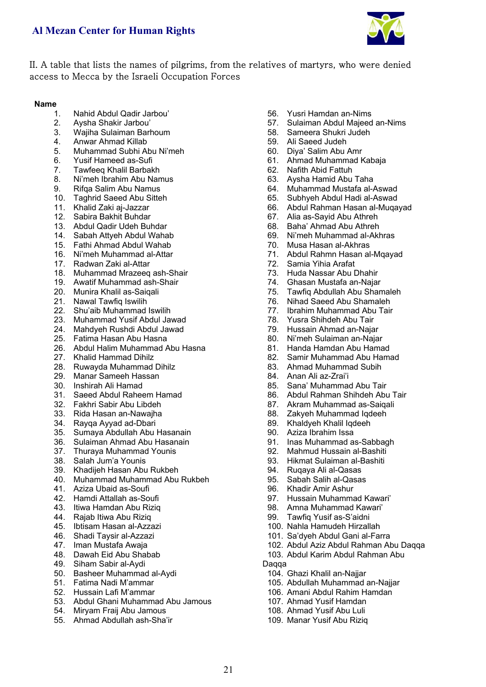

### II. A table that lists the names of pilgrims, from the relatives of martyrs, who were denied access to Mecca by the Israeli Occupation Forces

### **Name**

- 1. Nahid Abdul Qadir Jarbou'
- 2. Aysha Shakir Jarbou'
- 3. Wajiha Sulaiman Barhoum
- 4. Anwar Ahmad Killab
- 5. Muhammad Subhi Abu Ni'meh
- 6. Yusif Hameed as-Sufi
- 7. Tawfeeq Khalil Barbakh
- 8. Ni'meh Ibrahim Abu Namus<br>9. Rifaa Salim Abu Namus
- 9. Rifqa Salim Abu Namus
- 10. Taghrid Saeed Abu Sitteh
- 11. Khalid Zaki aj-Jazzar
- 12. Sabira Bakhit Buhdar
- 13. Abdul Qadir Udeh Buhdar
- 14. Sabah Attyeh Abdul Wahab
- 15. Fathi Ahmad Abdul Wahab
- 16. Ni'meh Muhammad al-Attar
- 17. Radwan Zaki al-Attar
- 18. Muhammad Mrazeeq ash-Shair
- 19. Awatif Muhammad ash-Shair
- 20. Munira Khalil as-Saiqali
- 21. Nawal Tawfiq Iswilih
- 22. Shu'aib Muhammad Iswilih
- 23. Muhammad Yusif Abdul Jawad
- 24. Mahdyeh Rushdi Abdul Jawad
- 25. Fatima Hasan Abu Hasna
- 26. Abdul Halim Muhammad Abu Hasna
- 27. Khalid Hammad Dihilz
- 28. Ruwayda Muhammad Dihilz
- 29. Manar Sameeh Hassan
- 30. Inshirah Ali Hamad
- 31. Saeed Abdul Raheem Hamad
- 32. Fakhri Sabir Abu Libdeh
- 33. Rida Hasan an-Nawajha
- 34. Rayqa Ayyad ad-Dbari
- 35. Sumaya Abdullah Abu Hasanain
- 36. Sulaiman Ahmad Abu Hasanain
- 37. Thuraya Muhammad Younis
- 38. Salah Jum'a Younis
- 39. Khadijeh Hasan Abu Rukbeh
- 40. Muhammad Muhammad Abu Rukbeh
- 41. Aziza Ubaid as-Soufi
- 42. Hamdi Attallah as-Soufi
- 43. Itiwa Hamdan Abu Riziq
- 44. Rajab Itiwa Abu Riziq
- 45. Ibtisam Hasan al-Azzazi
- 46. Shadi Taysir al-Azzazi
- 47. Iman Mustafa Awaja
- 48. Dawah Eid Abu Shabab
- 49. Siham Sabir al-Aydi
- 50. Basheer Muhammad al-Aydi
- 51. Fatima Nadi M'ammar
- 52. Hussain Lafi M'ammar
- 53. Abdul Ghani Muhammad Abu Jamous

21

- 54. Miryam Fraij Abu Jamous
- 55. Ahmad Abdullah ash-Sha'ir
- 56. Yusri Hamdan an-Nims
- 57. Sulaiman Abdul Majeed an-Nims
- 58. Sameera Shukri Judeh
- 59. Ali Saeed Judeh
- 60. Diya' Salim Abu Amr
- 61. Ahmad Muhammad Kabaja
- 62. Nafith Abid Fattuh
- 63. Aysha Hamid Abu Taha
- 64. Muhammad Mustafa al-Aswad
- 65. Subhyeh Abdul Hadi al-Aswad
- 66. Abdul Rahman Hasan al-Muqayad
- 67. Alia as-Sayid Abu Athreh
- 68. Baha' Ahmad Abu Athreh
- 69. Ni'meh Muhammad al-Akhras
- 70. Musa Hasan al-Akhras
- 71. Abdul Rahmn Hasan al-Mqayad
- 72. Samia Yihia Arafat
- 73. Huda Nassar Abu Dhahir
- 74. Ghasan Mustafa an-Najar
- 75. Tawfiq Abdullah Abu Shamaleh
- 76. Nihad Saeed Abu Shamaleh<br>77 Ibrahim Muhammad Abu Tair
- 77. Ibrahim Muhammad Abu Tair
- 78. Yusra Shihdeh Abu Tair<br>79. Hussain Ahmad an-Naja
- 79. Hussain Ahmad an-Najar
- 80. Ni'meh Sulaiman an-Najar
- 81. Handa Hamdan Abu Hamad
- 82. Samir Muhammad Abu Hamad
- 83. Ahmad Muhammad Subih
- 84. Anan Ali az-Zrai'i
- 85. Sana' Muhammad Abu Tair
- 86. Abdul Rahman Shihdeh Abu Tair
- 87. Akram Muhammad as-Saiqali
- 88. Zakyeh Muhammad Iqdeeh
- 89. Khaldyeh Khalil Iqdeeh
- 90. Aziza Ibrahim Issa
- 91. Inas Muhammad as-Sabbagh
- 92. Mahmud Hussain al-Bashiti
- 93. Hikmat Sulaiman al-Bashiti

97. Hussain Muhammad Kawari' 98. Amna Muhammad Kawari' 99. Tawfiq Yusif as-S'aidni 100. Nahla Hamudeh Hirzallah 101. Sa'dyeh Abdul Gani al-Farra

102. Abdul Aziz Abdul Rahman Abu Daqqa 103. Abdul Karim Abdul Rahman Abu

- 94. Ruqaya Ali al-Qasas
- 95. Sabah Salih al-Qasas

104. Ghazi Khalil an-Najjar

105. Abdullah Muhammad an-Najjar 106. Amani Abdul Rahim Hamdan 107. Ahmad Yusif Hamdan 108. Ahmad Yusif Abu Luli 109. Manar Yusif Abu Riziq

96. Khadir Amir Ashur

Daqqa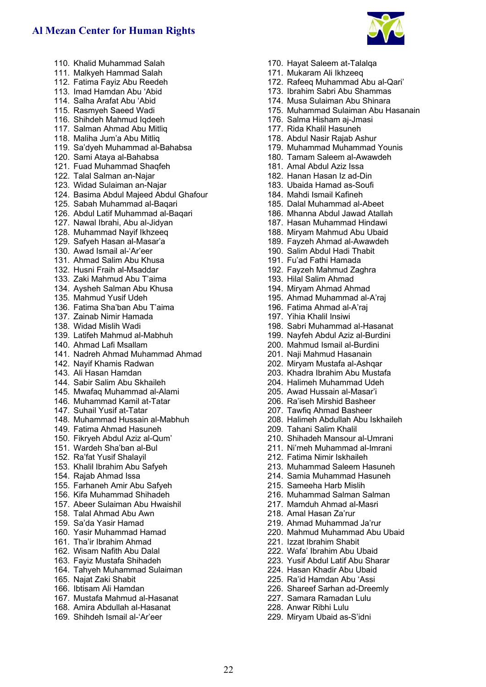

- 110. Khalid Muhammad Salah 111. Malkyeh Hammad Salah 112. Fatima Fayiz Abu Reedeh 113. Imad Hamdan Abu 'Abid 114. Salha Arafat Abu 'Abid 115. Rasmyeh Saeed Wadi 116. Shihdeh Mahmud Iqdeeh 117. Salman Ahmad Abu Mitliq 118. Maliha Jum'a Abu Mitliq 119. Sa'dyeh Muhammad al-Bahabsa 120. Sami Ataya al-Bahabsa 121. Fuad Muhammad Shaqfeh 122. Talal Salman an-Najar 123. Widad Sulaiman an-Najar 124. Basima Abdul Majeed Abdul Ghafour 125. Sabah Muhammad al-Baqari 126. Abdul Latif Muhammad al-Baqari 127. Nawal Ibrahi, Abu al-Jidyan 128. Muhammad Nayif Ikhzeeq 129. Safyeh Hasan al-Masar'a 130. Awad Ismail al-'Ar'eer 131. Ahmad Salim Abu Khusa 132. Husni Fraih al-Msaddar 133. Zaki Mahmud Abu T'aima 134. Aysheh Salman Abu Khusa 135. Mahmud Yusif Udeh 136. Fatima Sha'ban Abu T'aima 137. Zainab Nimir Hamada 138. Widad Mislih Wadi 139. Latifeh Mahmud al-Mabhuh 140. Ahmad Lafi Msallam 141. Nadreh Ahmad Muhammad Ahmad 142. Nayif Khamis Radwan 143. Ali Hasan Hamdan 144. Sabir Salim Abu Skhaileh 145. Mwafaq Muhammad al-Alami 146. Muhammad Kamil at-Tatar 147. Suhail Yusif at-Tatar 148. Muhammad Hussain al-Mabhuh 149. Fatima Ahmad Hasuneh 150. Fikryeh Abdul Aziz al-Qum'
- 151. Wardeh Sha'ban al-Bul
- 152. Ra'fat Yusif Shalayil
- 153. Khalil Ibrahim Abu Safyeh
- 154. Rajab Ahmad Issa
- 155. Farhaneh Amir Abu Safyeh
- 156. Kifa Muhammad Shihadeh
- 157. Abeer Sulaiman Abu Hwaishil
- 158. Talal Ahmad Abu Awn
- 159. Sa'da Yasir Hamad
- 160. Yasir Muhammad Hamad
- 161. Tha'ir Ibrahim Ahmad
- 162. Wisam Nafith Abu Dalal
- 163. Fayiz Mustafa Shihadeh
- 164. Tahyeh Muhammad Sulaiman
- 165. Najat Zaki Shabit
- 166. Ibtisam Ali Hamdan
- 167. Mustafa Mahmud al-Hasanat
- 168. Amira Abdullah al-Hasanat
- 169. Shihdeh Ismail al-'Ar'eer
- 170. Hayat Saleem at-Talalqa
- 171. Mukaram Ali Ikhzeeq
- 172. Rafeeq Muhammad Abu al-Qari'
- 173. Ibrahim Sabri Abu Shammas
- 174. Musa Sulaiman Abu Shinara
- 175. Muhammad Sulaiman Abu Hasanain
- 176. Salma Hisham aj-Jmasi
- 177. Rida Khalil Hasuneh
- 178. Abdul Nasir Rajab Ashur
- 179. Muhammad Muhammad Younis
- 180. Tamam Saleem al-Awawdeh
- 181. Amal Abdul Aziz Issa
- 182. Hanan Hasan Iz ad-Din
- 183. Ubaida Hamad as-Soufi
- 184. Mahdi Ismail Kafineh
- 185. Dalal Muhammad al-Abeet
- 186. Mhanna Abdul Jawad Atallah
- 187. Hasan Muhammad Hindawi
- 188. Miryam Mahmud Abu Ubaid
- 189. Fayzeh Ahmad al-Awawdeh
- 190. Salim Abdul Hadi Thabit
- 191. Fu'ad Fathi Hamada
- 192. Fayzeh Mahmud Zaghra
- 193. Hilal Salim Ahmad
- 194. Miryam Ahmad Ahmad
- 195. Ahmad Muhammad al-A'raj
- 196. Fatima Ahmad al-A'raj
- 197. Yihia Khalil Insiwi
- 198. Sabri Muhammad al-Hasanat
- 199. Nayfeh Abdul Aziz al-Burdini
- 200. Mahmud Ismail al-Burdini
- 201. Naji Mahmud Hasanain
- 202. Miryam Mustafa al-Ashqar
- 203. Khadra Ibrahim Abu Mustafa
- 204. Halimeh Muhammad Udeh
- 205. Awad Hussain al-Masar'i
- 206. Ra'iseh Mirshid Basheer
- 207. Tawfiq Ahmad Basheer
- 208. Halimeh Abdullah Abu Iskhaileh
- 209. Tahani Salim Khalil
- 210. Shihadeh Mansour al-Umrani
- 211. Ni'meh Muhammad al-Imrani
- 212. Fatima Nimir Iskhaileh
- 213. Muhammad Saleem Hasuneh
- 214. Samia Muhammad Hasuneh
- 215. Sameeha Harb Mislih
- 216. Muhammad Salman Salman
- 217. Mamduh Ahmad al-Masri
- 218. Amal Hasan Za'rur
- 219. Ahmad Muhammad Ja'rur
- 220. Mahmud Muhammad Abu Ubaid
- 221. Izzat Ibrahim Shabit
- 222. Wafa' Ibrahim Abu Ubaid
- 223. Yusif Abdul Latif Abu Sharar
- 224. Hasan Khadir Abu Ubaid
- 225. Ra'id Hamdan Abu 'Assi
- 226. Shareef Sarhan ad-Dreemly
- 227. Samara Ramadan Lulu
- 228. Anwar Ribhi Lulu
- 229. Miryam Ubaid as-S'idni